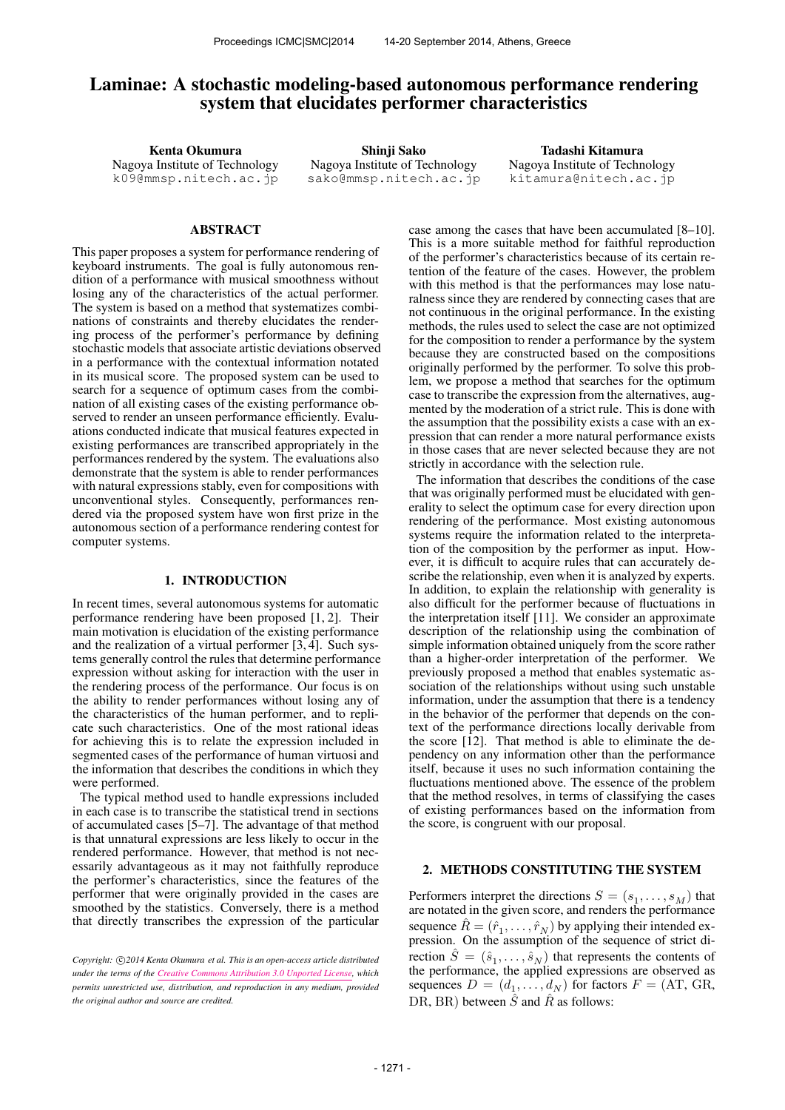# Laminae: A stochastic modeling-based autonomous performance rendering system that elucidates performer characteristics

Kenta Okumura Nagoya Institute of Technology [k09@mmsp.nitech.ac.jp](mailto:k09@mmsp.nitech.ac.jp)

Shinji Sako Nagoya Institute of Technology [sako@mmsp.nitech.ac.jp](mailto:sako@mmsp.nitech.ac.jp)

Tadashi Kitamura Nagoya Institute of Technology [kitamura@nitech.ac.jp](mailto:kitamura@nitech.ac.jp)

### ABSTRACT

This paper proposes a system for performance rendering of keyboard instruments. The goal is fully autonomous rendition of a performance with musical smoothness without losing any of the characteristics of the actual performer. The system is based on a method that systematizes combinations of constraints and thereby elucidates the rendering process of the performer's performance by defining stochastic models that associate artistic deviations observed in a performance with the contextual information notated in its musical score. The proposed system can be used to search for a sequence of optimum cases from the combination of all existing cases of the existing performance observed to render an unseen performance efficiently. Evaluations conducted indicate that musical features expected in existing performances are transcribed appropriately in the performances rendered by the system. The evaluations also demonstrate that the system is able to render performances with natural expressions stably, even for compositions with unconventional styles. Consequently, performances rendered via the proposed system have won first prize in the autonomous section of a performance rendering contest for computer systems.

#### 1. INTRODUCTION

In recent times, several autonomous systems for automatic performance rendering have been proposed [1, 2]. Their main motivation is elucidation of the existing performance and the realization of a virtual performer [3, 4]. Such systems generally control the rules that determine performance expression without asking for interaction with the user in the rendering process of the performance. Our focus is on the ability to render performances without losing any of the characteristics of the human performer, and to replicate such characteristics. One of the most rational ideas for achieving this is to relate the expression included in segmented cases of the performance of human virtuosi and the information that describes the conditions in which they were performed.

The typical method used to handle expressions included in each case is to transcribe the statistical trend in sections of accumulated cases [5–7]. The advantage of that method is that unnatural expressions are less likely to occur in the rendered performance. However, that method is not necessarily advantageous as it may not faithfully reproduce the performer's characteristics, since the features of the performer that were originally provided in the cases are smoothed by the statistics. Conversely, there is a method that directly transcribes the expression of the particular

case among the cases that have been accumulated [8–10]. This is a more suitable method for faithful reproduction of the performer's characteristics because of its certain retention of the feature of the cases. However, the problem with this method is that the performances may lose naturalness since they are rendered by connecting cases that are not continuous in the original performance. In the existing methods, the rules used to select the case are not optimized for the composition to render a performance by the system because they are constructed based on the compositions originally performed by the performer. To solve this problem, we propose a method that searches for the optimum case to transcribe the expression from the alternatives, augmented by the moderation of a strict rule. This is done with the assumption that the possibility exists a case with an expression that can render a more natural performance exists in those cases that are never selected because they are not strictly in accordance with the selection rule.

The information that describes the conditions of the case that was originally performed must be elucidated with generality to select the optimum case for every direction upon rendering of the performance. Most existing autonomous systems require the information related to the interpretation of the composition by the performer as input. However, it is difficult to acquire rules that can accurately describe the relationship, even when it is analyzed by experts. In addition, to explain the relationship with generality is also difficult for the performer because of fluctuations in the interpretation itself [11]. We consider an approximate description of the relationship using the combination of simple information obtained uniquely from the score rather than a higher-order interpretation of the performer. We previously proposed a method that enables systematic association of the relationships without using such unstable information, under the assumption that there is a tendency in the behavior of the performer that depends on the context of the performance directions locally derivable from the score  $[12]$ . That method is able to eliminate the dependency on any information other than the performance itself, because it uses no such information containing the fluctuations mentioned above. The essence of the problem that the method resolves, in terms of classifying the cases of existing performances based on the information from the score, is congruent with our proposal.

## 2. METHODS CONSTITUTING THE SYSTEM

Performers interpret the directions  $S = (s_1, \ldots, s_M)$  that are notated in the given score, and renders the performance sequence  $\hat{R} = (\hat{r}_1, \dots, \hat{r}_N)$  by applying their intended expression. On the assumption of the sequence of strict direction  $\hat{S} = (\hat{s}_1, \dots, \hat{s}_N)$  that represents the contents of the performance, the applied expressions are observed as sequences  $D = (d_1, \ldots, d_N)$  for factors  $F = (AT, GR, d_N)$ DR, BR) between  $\hat{S}$  and  $\hat{R}$  as follows:

Copyright:  $\bigcirc$ 2014 Kenta Okumura et al. This is an open-access article distributed *under the terms of the [Creative Commons Attribution 3.0 Unported License,](http://creativecommons.org/licenses/by/3.0/) which permits unrestricted use, distribution, and reproduction in any medium, provided the original author and source are credited.*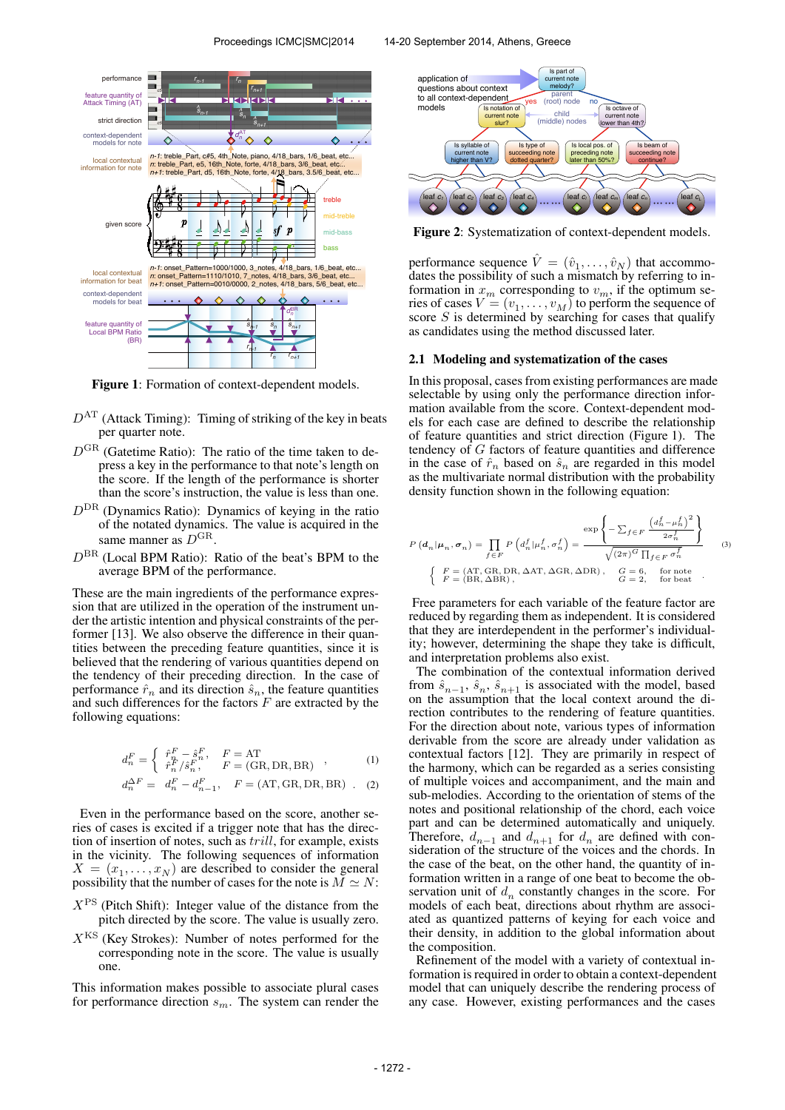#### Proceedings ICMC|SMC|2014 14-20 September 2014, Athens, Greece



Figure 1: Formation of context-dependent models.

- $D<sup>AT</sup>$  (Attack Timing): Timing of striking of the key in beats per quarter note.
- $D<sup>GR</sup>$  (Gatetime Ratio): The ratio of the time taken to depress a key in the performance to that note's length on the score. If the length of the performance is shorter than the score's instruction, the value is less than one.
- $D<sup>DR</sup>$  (Dynamics Ratio): Dynamics of keying in the ratio of the notated dynamics. The value is acquired in the same manner as  $D^{GR}$ .
- $D<sup>BR</sup>$  (Local BPM Ratio): Ratio of the beat's BPM to the average BPM of the performance.

These are the main ingredients of the performance expression that are utilized in the operation of the instrument under the artistic intention and physical constraints of the performer [13]. We also observe the difference in their quantities between the preceding feature quantities, since it is believed that the rendering of various quantities depend on the tendency of their preceding direction. In the case of performance  $\hat{r}_n$  and its direction  $\hat{s}_n$ , the feature quantities and such differences for the factors  $F$  are extracted by the following equations:

$$
d_n^F = \begin{cases} \begin{array}{c} \hat{r}_n^F - \hat{s}_n^F, \quad F = \text{AT} \\ \hat{r}_n^F / \hat{s}_n^F, \quad F = (\text{GR}, \text{DR}, \text{BR}) \end{array} \end{cases} , \tag{1}
$$

$$
d_n^{\Delta F} = d_n^F - d_{n-1}^F, \quad F = (AT, GR, DR, BR) \quad . \quad (2)
$$

Even in the performance based on the score, another series of cases is excited if a trigger note that has the direction of insertion of notes, such as trill, for example, exists in the vicinity. The following sequences of information  $X = (x_1, \dots, x_N)$  are described to consider the general possibility that the number of cases for the note is  $\overline{M} \simeq N$ :

- $X<sup>PS</sup>$  (Pitch Shift): Integer value of the distance from the pitch directed by the score. The value is usually zero.
- $X<sup>KS</sup>$  (Key Strokes): Number of notes performed for the corresponding note in the score. The value is usually one.

This information makes possible to associate plural cases for performance direction  $s_m$ . The system can render the



Figure 2: Systematization of context-dependent models.

performance sequence  $\hat{V} = (\hat{v}_1, \dots, \hat{v}_N)$  that accommodates the possibility of such a mismatch by referring to information in  $x_m$  corresponding to  $v_m$ , if the optimum series of cases  $V = (v_1, \dots, v_M)$  to perform the sequence of score  $S$  is determined by searching for cases that qualify as candidates using the method discussed later.

## 2.1 Modeling and systematization of the cases

In this proposal, cases from existing performances are made selectable by using only the performance direction information available from the score. Context-dependent models for each case are defined to describe the relationship of feature quantities and strict direction (Figure 1). The tendency of  $G$  factors of feature quantities and difference in the case of  $\hat{r}_n$  based on  $\hat{s}_n$  are regarded in this model as the multivariate normal distribution with the probability density function shown in the following equation:

$$
P\left(\mathbf{d}_{n}|\boldsymbol{\mu}_{n},\boldsymbol{\sigma}_{n}\right) = \prod_{f\in F} P\left(d_{n}^{f}|\boldsymbol{\mu}_{n}^{f},\sigma_{n}^{f}\right) = \frac{\exp\left\{-\sum_{f\in F}\frac{\left(d_{n}^{f}-\boldsymbol{\mu}_{n}^{f}\right)^{2}}{2\sigma_{n}^{f}}\right\}}{\sqrt{\left(2\pi\right)^{G}\prod_{f\in F}\sigma_{n}^{f}}}
$$
\n
$$
\left\{\begin{array}{ll}F = (\text{AT},\text{GR},\text{DR},\Delta\text{AT},\Delta\text{GR},\Delta\text{DR}), & G = 6, \text{ for note} \\ F = (\text{BR},\Delta\text{BR}), & G = 2, \text{ for beat} \end{array}\right..
$$
\n(3)

Free parameters for each variable of the feature factor are reduced by regarding them as independent. It is considered that they are interdependent in the performer's individuality; however, determining the shape they take is difficult, and interpretation problems also exist.

The combination of the contextual information derived from  $\hat{s}_{n-1}$ ,  $\hat{s}_n$ ,  $\hat{s}_{n+1}$  is associated with the model, based on the assumption that the local context around the direction contributes to the rendering of feature quantities. For the direction about note, various types of information derivable from the score are already under validation as contextual factors [12]. They are primarily in respect of the harmony, which can be regarded as a series consisting of multiple voices and accompaniment, and the main and sub-melodies. According to the orientation of stems of the notes and positional relationship of the chord, each voice part and can be determined automatically and uniquely. Therefore,  $d_{n-1}$  and  $d_{n+1}$  for  $d_n$  are defined with consideration of the structure of the voices and the chords. In the case of the beat, on the other hand, the quantity of information written in a range of one beat to become the observation unit of  $d_n$  constantly changes in the score. For models of each beat, directions about rhythm are associated as quantized patterns of keying for each voice and their density, in addition to the global information about the composition.

Refinement of the model with a variety of contextual information is required in order to obtain a context-dependent model that can uniquely describe the rendering process of any case. However, existing performances and the cases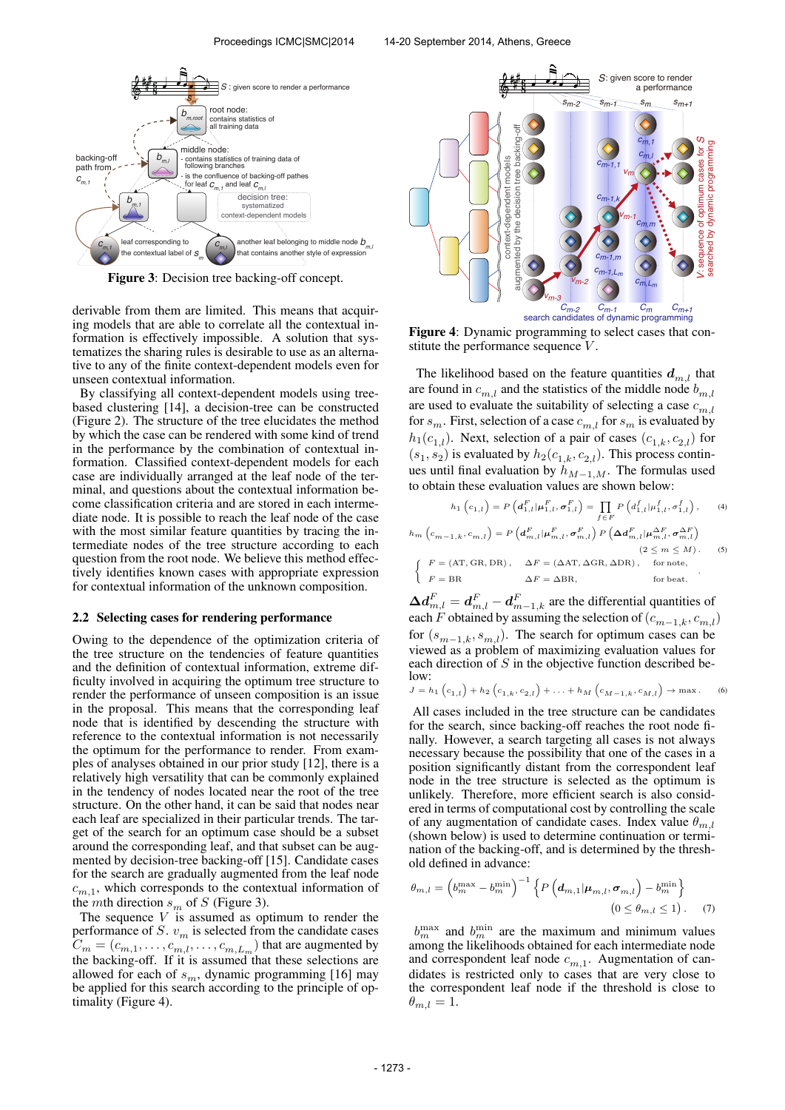

Figure 3: Decision tree backing-off concept.

derivable from them are limited. This means that acquiring models that are able to correlate all the contextual information is effectively impossible. A solution that systematizes the sharing rules is desirable to use as an alternative to any of the finite context-dependent models even for unseen contextual information.

By classifying all context-dependent models using treebased clustering [14], a decision-tree can be constructed (Figure 2). The structure of the tree elucidates the method by which the case can be rendered with some kind of trend in the performance by the combination of contextual information. Classified context-dependent models for each case are individually arranged at the leaf node of the terminal, and questions about the contextual information become classification criteria and are stored in each intermediate node. It is possible to reach the leaf node of the case with the most similar feature quantities by tracing the intermediate nodes of the tree structure according to each question from the root node. We believe this method effectively identifies known cases with appropriate expression for contextual information of the unknown composition.

#### 2.2 Selecting cases for rendering performance

Owing to the dependence of the optimization criteria of the tree structure on the tendencies of feature quantities and the definition of contextual information, extreme difficulty involved in acquiring the optimum tree structure to render the performance of unseen composition is an issue in the proposal. This means that the corresponding leaf node that is identified by descending the structure with reference to the contextual information is not necessarily the optimum for the performance to render. From examples of analyses obtained in our prior study [12], there is a relatively high versatility that can be commonly explained in the tendency of nodes located near the root of the tree structure. On the other hand, it can be said that nodes near each leaf are specialized in their particular trends. The target of the search for an optimum case should be a subset around the corresponding leaf, and that subset can be augmented by decision-tree backing-off [15]. Candidate cases for the search are gradually augmented from the leaf node  $c_{m,1}$ , which corresponds to the contextual information of the *mth* direction  $s_m$  of S (Figure 3).

The sequence  $V$  is assumed as optimum to render the performance of S.  $v_m$  is selected from the candidate cases  $C_m = (c_{m,1}, \ldots, c_{m,l}, \ldots, c_{m,L_m})$  that are augmented by the backing-off. If it is assumed that these selections are allowed for each of  $s_m$ , dynamic programming [16] may be applied for this search according to the principle of optimality (Figure 4).



Figure 4: Dynamic programming to select cases that constitute the performance sequence V.

The likelihood based on the feature quantities  $d_{m,l}$  that are found in  $c_{m,l}$  and the statistics of the middle node  $b_{m,l}$ are used to evaluate the suitability of selecting a case  $c_{m,l}$ for  $s_m$ . First, selection of a case  $c_{m,l}$  for  $s_m$  is evaluated by  $h_1(c_{1,l})$ . Next, selection of a pair of cases  $(c_{1,k}, c_{2,l})$  for  $(s_1, s_2)$  is evaluated by  $h_2(c_{1,k}, c_{2,l})$ . This process continues until final evaluation by  $h_{M-1,M}$ . The formulas used to obtain these evaluation values are shown below:

$$
h_1\left(c_{1,l}\right) = P\left(d_{1,l}^F | \mu_{1,l}^F, \sigma_{1,l}^F\right) = \prod_{f \in F} P\left(d_{1,l}^f | \mu_{1,l}^f, \sigma_{1,l}^f\right),\qquad(4)
$$

$$
h_m\left(c_{m-1,k}, c_{m,l}\right) = P\left(d_{m,l}^F|\mu_{m,l}^F, \sigma_{m,l}^F\right) P\left(\Delta d_{m,l}^F|\mu_{m,l}^{\Delta F}, \sigma_{m,l}^{\Delta F}\right)
$$
\n
$$
(2 \le m \le M). \qquad (5)
$$
\n
$$
\left\{\n\begin{array}{ll}\nF = (\text{AT}, \text{GR}, \text{DR}), & \Delta F = (\Delta \text{AT}, \Delta \text{GR}, \Delta \text{DR}), & \text{for note,} \\
F = \text{BR} & \Delta F = \Delta \text{BR}, & \text{for beat.}\n\end{array}\n\right.
$$

 $\Delta d_{m,l}^F = d_{m,l}^F - d_{m-1,k}^F$  are the differential quantities of each F obtained by assuming the selection of  $(c_{m-1,k}, c_{m,l})$ for  $(s_{m-1,k}, s_{m,l})$ . The search for optimum cases can be viewed as a problem of maximizing evaluation values for each direction of S in the objective function described below:

$$
J = h_1(c_{1,l}) + h_2(c_{1,k}, c_{2,l}) + \ldots + h_M(c_{M-1,k}, c_{M,l}) \to \max. \tag{6}
$$

All cases included in the tree structure can be candidates for the search, since backing-off reaches the root node finally. However, a search targeting all cases is not always necessary because the possibility that one of the cases in a position significantly distant from the correspondent leaf node in the tree structure is selected as the optimum is unlikely. Therefore, more efficient search is also considered in terms of computational cost by controlling the scale of any augmentation of candidate cases. Index value  $\theta_{m,l}$ (shown below) is used to determine continuation or termination of the backing-off, and is determined by the threshold defined in advance:

$$
\theta_{m,l} = \left(b_m^{\max} - b_m^{\min}\right)^{-1} \left\{ P\left(d_{m,1}|\mu_{m,l}, \sigma_{m,l}\right) - b_m^{\min}\right\}
$$

$$
\left(0 \le \theta_{m,l} \le 1\right). \tag{7}
$$

 $b_m^{\text{max}}$  and  $b_m^{\text{min}}$  are the maximum and minimum values among the likelihoods obtained for each intermediate node and correspondent leaf node  $c_{m,1}$ . Augmentation of candidates is restricted only to cases that are very close to the correspondent leaf node if the threshold is close to  $\theta_{m,l} = 1.$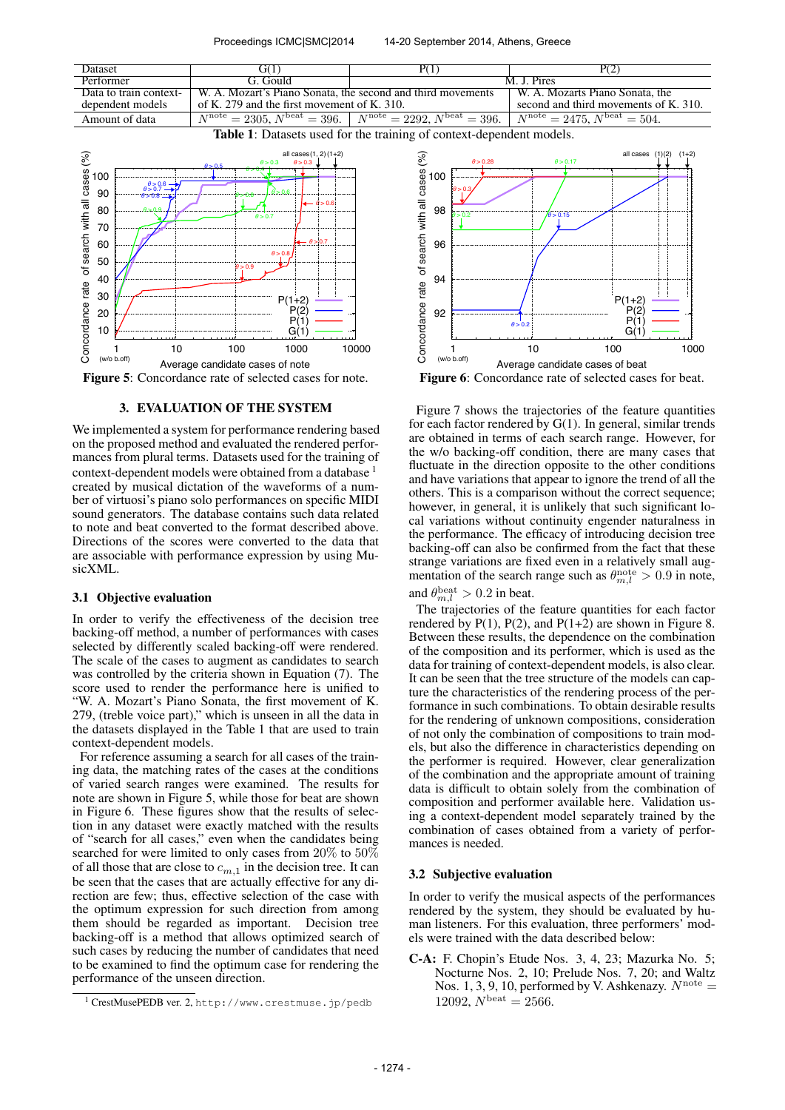

Figure 5: Concordance rate of selected cases for note.

## 3. EVALUATION OF THE SYSTEM

We implemented a system for performance rendering based on the proposed method and evaluated the rendered performances from plural terms. Datasets used for the training of context-dependent models were obtained from a database <sup>1</sup> created by musical dictation of the waveforms of a number of virtuosi's piano solo performances on specific MIDI sound generators. The database contains such data related to note and beat converted to the format described above. Directions of the scores were converted to the data that are associable with performance expression by using MusicXML.

## 3.1 Objective evaluation

In order to verify the effectiveness of the decision tree backing-off method, a number of performances with cases selected by differently scaled backing-off were rendered. The scale of the cases to augment as candidates to search was controlled by the criteria shown in Equation (7). The score used to render the performance here is unified to "W. A. Mozart's Piano Sonata, the first movement of K. 279, (treble voice part)," which is unseen in all the data in the datasets displayed in the Table 1 that are used to train context-dependent models.

For reference assuming a search for all cases of the training data, the matching rates of the cases at the conditions of varied search ranges were examined. The results for note are shown in Figure 5, while those for beat are shown in Figure 6. These figures show that the results of selection in any dataset were exactly matched with the results of "search for all cases," even when the candidates being searched for were limited to only cases from 20% to 50% of all those that are close to  $c_{m,1}$  in the decision tree. It can be seen that the cases that are actually effective for any direction are few; thus, effective selection of the case with the optimum expression for such direction from among them should be regarded as important. Decision tree backing-off is a method that allows optimized search of such cases by reducing the number of candidates that need to be examined to find the optimum case for rendering the performance of the unseen direction.

Figure 6: Concordance rate of selected cases for beat.

Figure 7 shows the trajectories of the feature quantities for each factor rendered by G(1). In general, similar trends are obtained in terms of each search range. However, for the w/o backing-off condition, there are many cases that fluctuate in the direction opposite to the other conditions and have variations that appear to ignore the trend of all the others. This is a comparison without the correct sequence; however, in general, it is unlikely that such significant local variations without continuity engender naturalness in the performance. The efficacy of introducing decision tree backing-off can also be confirmed from the fact that these strange variations are fixed even in a relatively small augmentation of the search range such as  $\theta_{m,l}^{\text{note}} > 0.9$  in note, and  $\theta_{m,l}^{\text{beat}} > 0.2$  in beat.

The trajectories of the feature quantities for each factor rendered by  $P(1)$ ,  $P(2)$ , and  $P(1+2)$  are shown in Figure 8. Between these results, the dependence on the combination of the composition and its performer, which is used as the data for training of context-dependent models, is also clear. It can be seen that the tree structure of the models can capture the characteristics of the rendering process of the performance in such combinations. To obtain desirable results for the rendering of unknown compositions, consideration of not only the combination of compositions to train models, but also the difference in characteristics depending on the performer is required. However, clear generalization of the combination and the appropriate amount of training data is difficult to obtain solely from the combination of composition and performer available here. Validation using a context-dependent model separately trained by the combination of cases obtained from a variety of performances is needed.

## 3.2 Subjective evaluation

In order to verify the musical aspects of the performances rendered by the system, they should be evaluated by human listeners. For this evaluation, three performers' models were trained with the data described below:

C-A: F. Chopin's Etude Nos. 3, 4, 23; Mazurka No. 5; Nocturne Nos. 2, 10; Prelude Nos. 7, 20; and Waltz Nos. 1, 3, 9, 10, performed by V. Ashkenazy.  $N^{\text{note}} =$ 12092,  $N^{\text{beat}} = 2566$ .

<sup>1</sup> CrestMusePEDB ver. 2, <http://www.crestmuse.jp/pedb>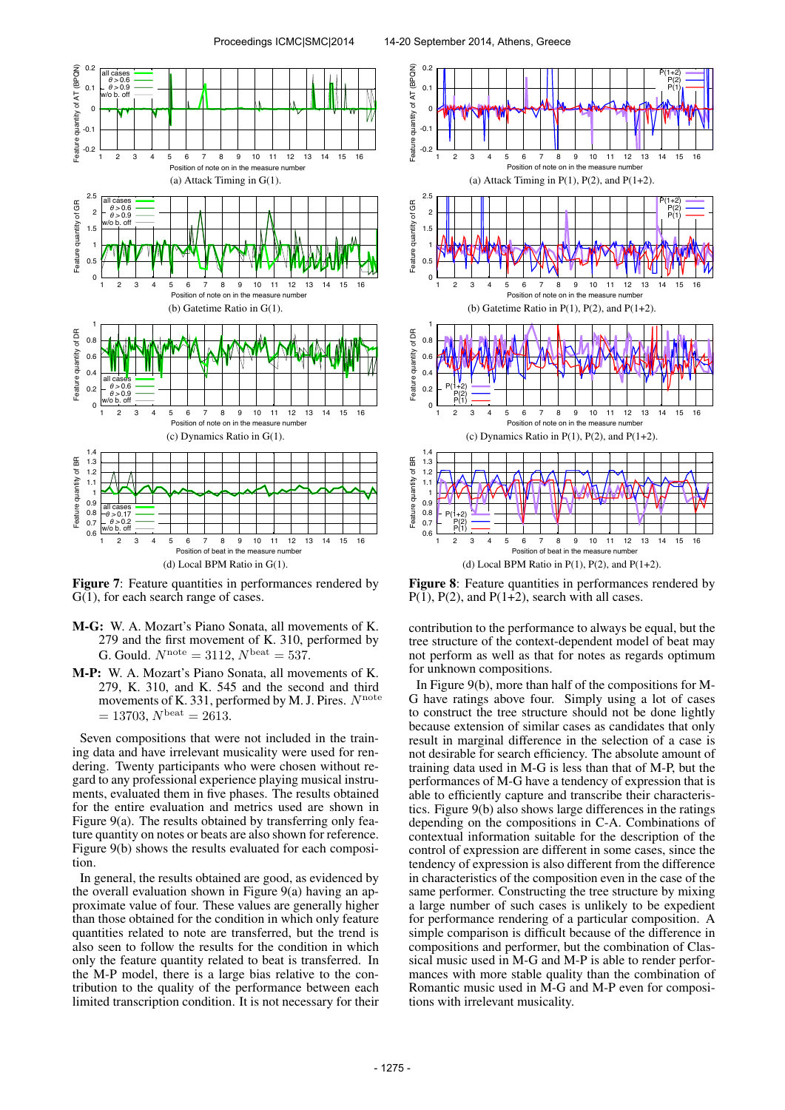

Figure 7: Feature quantities in performances rendered by  $G(1)$ , for each search range of cases.

- M-G: W. A. Mozart's Piano Sonata, all movements of K. 279 and the first movement of K. 310, performed by G. Gould.  $N^{\text{note}} = 3112$ ,  $N^{\text{beat}} = 537$ .
- M-P: W. A. Mozart's Piano Sonata, all movements of K. 279, K. 310, and K. 545 and the second and third movements of K. 331, performed by M. J. Pires.  $N^{\text{note}}$  $= 13703, N^{\text{beat}} = 2613.$

Seven compositions that were not included in the training data and have irrelevant musicality were used for rendering. Twenty participants who were chosen without regard to any professional experience playing musical instruments, evaluated them in five phases. The results obtained for the entire evaluation and metrics used are shown in Figure 9(a). The results obtained by transferring only feature quantity on notes or beats are also shown for reference. Figure 9(b) shows the results evaluated for each composition.

In general, the results obtained are good, as evidenced by the overall evaluation shown in Figure 9(a) having an approximate value of four. These values are generally higher than those obtained for the condition in which only feature quantities related to note are transferred, but the trend is also seen to follow the results for the condition in which only the feature quantity related to beat is transferred. In the M-P model, there is a large bias relative to the contribution to the quality of the performance between each limited transcription condition. It is not necessary for their



(d) Local BPM Ratio in  $P(1)$ ,  $P(2)$ , and  $P(1+2)$ .

Figure 8: Feature quantities in performances rendered by  $P(1)$ ,  $P(2)$ , and  $P(1+2)$ , search with all cases.

contribution to the performance to always be equal, but the tree structure of the context-dependent model of beat may not perform as well as that for notes as regards optimum for unknown compositions.

In Figure 9(b), more than half of the compositions for M-G have ratings above four. Simply using a lot of cases to construct the tree structure should not be done lightly because extension of similar cases as candidates that only result in marginal difference in the selection of a case is not desirable for search efficiency. The absolute amount of training data used in M-G is less than that of M-P, but the performances of M-G have a tendency of expression that is able to efficiently capture and transcribe their characteristics. Figure 9(b) also shows large differences in the ratings depending on the compositions in C-A. Combinations of contextual information suitable for the description of the control of expression are different in some cases, since the tendency of expression is also different from the difference in characteristics of the composition even in the case of the same performer. Constructing the tree structure by mixing a large number of such cases is unlikely to be expedient for performance rendering of a particular composition. A simple comparison is difficult because of the difference in compositions and performer, but the combination of Classical music used in M-G and M-P is able to render performances with more stable quality than the combination of Romantic music used in M-G and M-P even for compositions with irrelevant musicality.